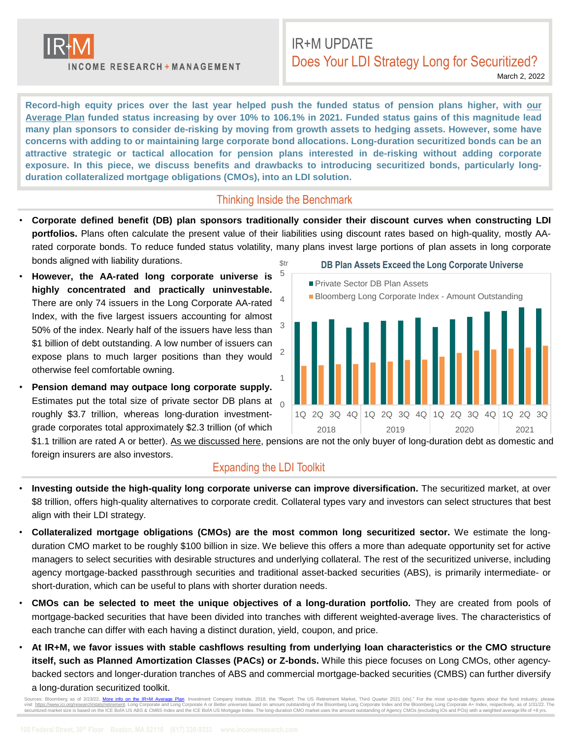

**INCOME RESEARCH + MANAGEMENT** 

# IR+M UPDATE Does Your LDI Strategy Long for Securitized?

March 2, 2022

Record-high equity prices over the last year helped push the funded status of pension plans higher, with our Average Plan funded status increasing by over 10% to 106.1% in 2021. Funded status gains of this [magnitude](https://www.incomeresearch.com/wp-content/uploads/2022/01/IRM-LDI-Monitor-2021-Annual-Edition.pdf) lead many plan sponsors to consider de-risking by moving from growth assets to hedging assets. However, some have concerns with adding to or maintaining large corporate bond allocations. Long-duration securitized bonds can be an **attractive strategic or tactical allocation for pension plans interested in de-risking without adding corporate exposure. In this piece, we discuss benefits and drawbacks to introducing securitized bonds, particularly longduration collateralized mortgage obligations (CMOs), into an LDI solution.**

#### Thinking Inside the Benchmark

- **Corporate defined benefit (DB) plan sponsors traditionally consider their discount curves when constructing LDI portfolios.** Plans often calculate the present value of their liabilities using discount rates based on high-quality, mostly AArated corporate bonds. To reduce funded status volatility, many plans invest large portions of plan assets in long corporate bonds aligned with liability durations.
- **However, the AA-rated long corporate universe is highly concentrated and practically uninvestable.** There are only 74 issuers in the Long Corporate AA-rated Index, with the five largest issuers accounting for almost 50% of the index. Nearly half of the issuers have less than \$1 billion of debt outstanding. A low number of issuers can expose plans to much larger positions than they would otherwise feel comfortable owning.
- **Pension demand may outpace long corporate supply.** Estimates put the total size of private sector DB plans at  $\overline{0}$ roughly \$3.7 trillion, whereas long-duration investmentgrade corporates total approximately \$2.3 trillion (of which



\$1.1 trillion are rated A or better). As we [discussed](https://www.incomeresearch.com/musings-on-long-corporate-investability/) here, pensions are not the only buyer of long-duration debt as domestic and foreign insurers are also investors.

#### Expanding the LDI Toolkit

- **Investing outside the high-quality long corporate universe can improve diversification.** The securitized market, at over \$8 trillion, offers high-quality alternatives to corporate credit. Collateral types vary and investors can select structures that best align with their LDI strategy.
- **Collateralized mortgage obligations (CMOs) are the most common long securitized sector.** We estimate the longduration CMO market to be roughly \$100 billion in size. We believe this offers a more than adequate opportunity set for active managers to select securities with desirable structures and underlying collateral. The rest of the securitized universe, including agency mortgage-backed passthrough securities and traditional asset-backed securities (ABS), is primarily intermediate- or short-duration, which can be useful to plans with shorter duration needs.
- **CMOs can be selected to meet the unique objectives of a long-duration portfolio.** They are created from pools of mortgage-backed securities that have been divided into tranches with different weighted-average lives. The characteristics of each tranche can differ with each having a distinct duration, yield, coupon, and price.
- At IR+M, we favor issues with stable cashflows resulting from underlying loan characteristics or the CMO structure **itself, such as Planned Amortization Classes (PACs) or Z-bonds.** While this piece focuses on Long CMOs, other agencybacked sectors and longer-duration tranches of ABS and commercial mortgage-backed securities (CMBS) can further diversify a long-duration securitized toolkit.

Sources: Bloomberg as of 2/23/22. More info on the IR+M [Average](https://www.incomeresearch.com/wp-content/uploads/2021/01/IRM-Funded-Status-Monitor-2021.pdf) Plan. Investment Company Institute. 2018. the "Report: The US Retirement Market, Third Quarter 2021 (xls)." For the most up-to-date figures about the fund ind visit <https://www.ici.org/research/stats/retirement>. Long Corporate and Long Corporate A or Better universes based on amount outstanding of the Bloomberg Long Corporate Index and the Bloomberg Long Corporate A+ Index, resp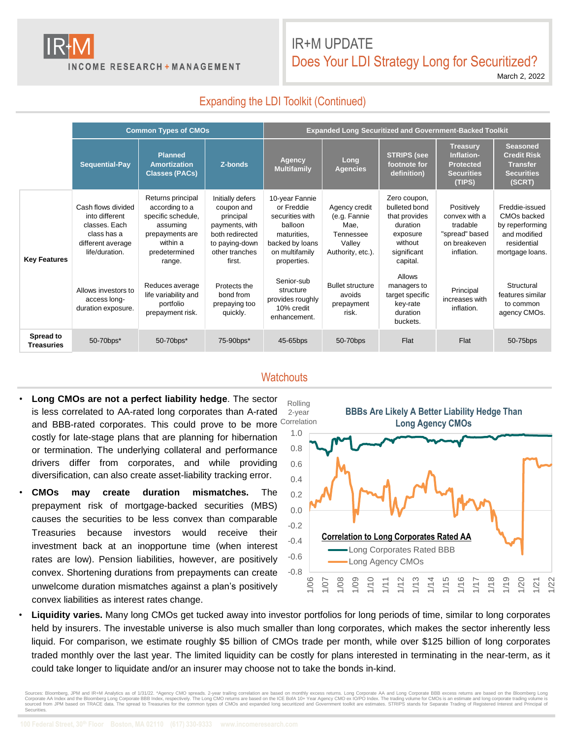

**INCOME RESEARCH + MANAGEMENT** 

# IR+M UPDATE Does Your LDI Strategy Long for Securitized?

March 2, 2022

# Expanding the LDI Toolkit (Continued)

|                                | <b>Common Types of CMOs</b>                                                                                 |                                                                                                                                 |                                                                                                                                | <b>Expanded Long Securitized and Government-Backed Toolkit</b>                                                                |                                                                                   |                                                                                                              |                                                                                         |                                                                                                    |
|--------------------------------|-------------------------------------------------------------------------------------------------------------|---------------------------------------------------------------------------------------------------------------------------------|--------------------------------------------------------------------------------------------------------------------------------|-------------------------------------------------------------------------------------------------------------------------------|-----------------------------------------------------------------------------------|--------------------------------------------------------------------------------------------------------------|-----------------------------------------------------------------------------------------|----------------------------------------------------------------------------------------------------|
|                                | Sequential-Pay                                                                                              | <b>Planned</b><br><b>Amortization</b><br><b>Classes (PACs)</b>                                                                  | Z-bonds                                                                                                                        | Agency<br><b>Multifamily</b>                                                                                                  | Long<br><b>Agencies</b>                                                           | <b>STRIPS (see</b><br>footnote for<br>definition)                                                            | <b>Treasury</b><br>Inflation-<br><b>Protected</b><br><b>Securities</b><br>(TIPS)        | <b>Seasoned</b><br><b>Credit Risk</b><br><b>Transfer</b><br><b>Securities</b><br>(SCRT)            |
| <b>Key Features</b>            | Cash flows divided<br>into different<br>classes. Each<br>class has a<br>different average<br>life/duration. | Returns principal<br>according to a<br>specific schedule,<br>assuming<br>prepayments are<br>within a<br>predetermined<br>range. | Initially defers<br>coupon and<br>principal<br>payments, with<br>both redirected<br>to paying-down<br>other tranches<br>first. | 10-year Fannie<br>or Freddie<br>securities with<br>balloon<br>maturities.<br>backed by loans<br>on multifamily<br>properties. | Agency credit<br>(e.g. Fannie<br>Mae.<br>Tennessee<br>Valley<br>Authority, etc.). | Zero coupon,<br>bulleted bond<br>that provides<br>duration<br>exposure<br>without<br>significant<br>capital. | Positively<br>convex with a<br>tradable<br>"spread" based<br>on breakeven<br>inflation. | Freddie-issued<br>CMOs backed<br>by reperforming<br>and modified<br>residential<br>mortgage loans. |
|                                | Allows investors to<br>access long-<br>duration exposure.                                                   | Reduces average<br>life variability and<br>portfolio<br>prepayment risk.                                                        | Protects the<br>bond from<br>prepaying too<br>quickly.                                                                         | Senior-sub<br>structure<br>provides roughly<br>10% credit<br>enhancement.                                                     | <b>Bullet structure</b><br>avoids<br>prepayment<br>risk.                          | Allows<br>managers to<br>target specific<br>key-rate<br>duration<br>buckets.                                 | Principal<br>increases with<br>inflation.                                               | Structural<br>features similar<br>to common<br>agency CMOs.                                        |
| Spread to<br><b>Treasuries</b> | 50-70bps*                                                                                                   | 50-70bps*                                                                                                                       | 75-90bps*                                                                                                                      | 45-65bps                                                                                                                      | 50-70bps                                                                          | Flat                                                                                                         | Flat                                                                                    | 50-75bps                                                                                           |

#### **Watchouts**

- **Long CMOs are not a perfect liability hedge**. The sector is less correlated to AA-rated long corporates than A-rated and BBB-rated corporates. This could prove to be more Correlation costly for late-stage plans that are planning for hibernation or termination. The underlying collateral and performance drivers differ from corporates, and while providing diversification, can also create asset-liability tracking error.
- **CMOs may create duration mismatches.** The prepayment risk of mortgage-backed securities (MBS) causes the securities to be less convex than comparable Treasuries because investors would receive their investment back at an inopportune time (when interest rates are low). Pension liabilities, however, are positively convex. Shortening durations from prepayments can create unwelcome duration mismatches against a plan's positively convex liabilities as interest rates change.



• **Liquidity varies.** Many long CMOs get tucked away into investor portfolios for long periods of time, similar to long corporates held by insurers. The investable universe is also much smaller than long corporates, which makes the sector inherently less liquid. For comparison, we estimate roughly \$5 billion of CMOs trade per month, while over \$125 billion of long corporates traded monthly over the last year. The limited liquidity can be costly for plans interested in terminating in the near-term, as it could take longer to liquidate and/or an insurer may choose not to take the bonds in-kind.

Sources: Bloomberg, JPM and IR+M Analytics as of 1/31/22. \*Agency CMO spreads. 2-year trailing correlation are based on monthly excess returns. Long Corporate AA and Long Corporate BBB excess returns are based on the Bloom Securities.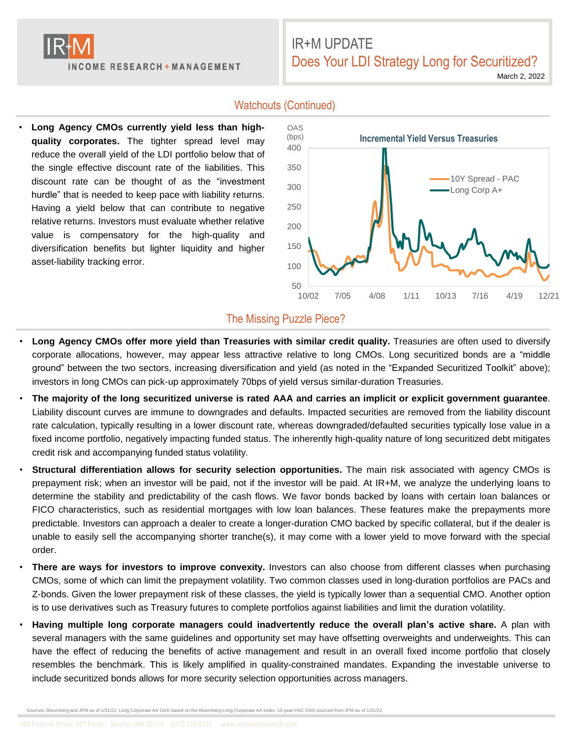

# IR+M UPDATE Does Your LDI Strategy Long for Securitized?

March 2, 2022

## • **Long Agency CMOs currently yield less than highquality corporates.** The tighter spread level may reduce the overall yield of the LDI portfolio below that of the single effective discount rate of the liabilities. This discount rate can be thought of as the "investment hurdle" that is needed to keep pace with liability returns. Having a yield below that can contribute to negative relative returns. Investors must evaluate whether relative value is compensatory for the high-quality and diversification benefits but lighter liquidity and higher asset-liability tracking error.

## Watchouts (Continued)



### The Missing Puzzle Piece?

- **Long Agency CMOs offer more yield than Treasuries with similar credit quality.** Treasuries are often used to diversify corporate allocations, however, may appear less attractive relative to long CMOs. Long securitized bonds are a "middle ground" between the two sectors, increasing diversification and yield (as noted in the "Expanded Securitized Toolkit" above); investors in long CMOs can pick-up approximately 70bps of yield versus similar-duration Treasuries.
- The majority of the long securitized universe is rated AAA and carries an implicit or explicit government guarantee. Liability discount curves are immune to downgrades and defaults. Impacted securities are removed from the liability discount rate calculation, typically resulting in a lower discount rate, whereas downgraded/defaulted securities typically lose value in a fixed income portfolio, negatively impacting funded status. The inherently high-quality nature of long securitized debt mitigates credit risk and accompanying funded status volatility.
- **Structural differentiation allows for security selection opportunities.** The main risk associated with agency CMOs is prepayment risk; when an investor will be paid, not if the investor will be paid. At IR+M, we analyze the underlying loans to determine the stability and predictability of the cash flows. We favor bonds backed by loans with certain loan balances or FICO characteristics, such as residential mortgages with low loan balances. These features make the prepayments more predictable. Investors can approach a dealer to create a longer-duration CMO backed by specific collateral, but if the dealer is unable to easily sell the accompanying shorter tranche(s), it may come with a lower yield to move forward with the special order.
- **There are ways for investors to improve convexity.** Investors can also choose from different classes when purchasing CMOs, some of which can limit the prepayment volatility. Two common classes used in long-duration portfolios are PACs and Z-bonds. Given the lower prepayment risk of these classes, the yield is typically lower than a sequential CMO. Another option is to use derivatives such as Treasury futures to complete portfolios against liabilities and limit the duration volatility.
- **Having multiple long corporate managers could inadvertently reduce the overall plan's active share.** A plan with several managers with the same guidelines and opportunity set may have offsetting overweights and underweights. This can have the effect of reducing the benefits of active management and result in an overall fixed income portfolio that closely resembles the benchmark. This is likely amplified in quality-constrained mandates. Expanding the investable universe to include securitized bonds allows for more security selection opportunities across managers.

Sources: Bloomberg and JPM as of 1/31/22. Long Corporate AA OAS based on the Bloomberg Long Corporate AA Index. 10-year PAC OAS sourced from JPM as of 1/31/22.